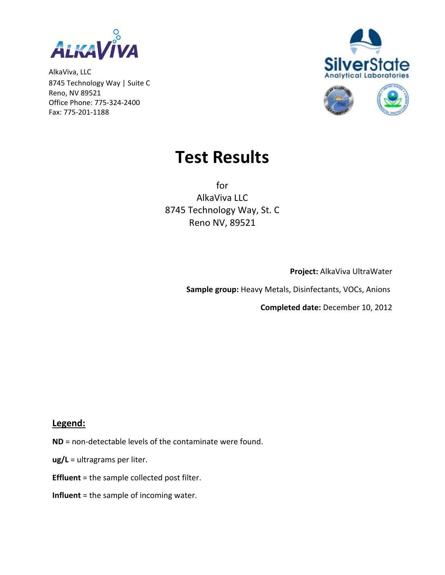

AlkaViva, LLC 8745 Technology Way | Suite C Reno, NV 89521 Office Phone: 775-324-2400 Fax: 775-201-1188





## **Test Results**

for AlkaViva LLC 8745 Technology Way, St. C Reno NV, 89521

**Project:** AlkaViva UltraWater

 **Sample group:** Heavy Metals, Disinfectants, VOCs, Anions

**Completed date:** December 10, 2012

## **Legend:**

- **ND** = non-detectable levels of the contaminate were found.
- **ug/L** = ultragrams per liter.
- **Effluent** = the sample collected post filter.
- **Influent** = the sample of incoming water.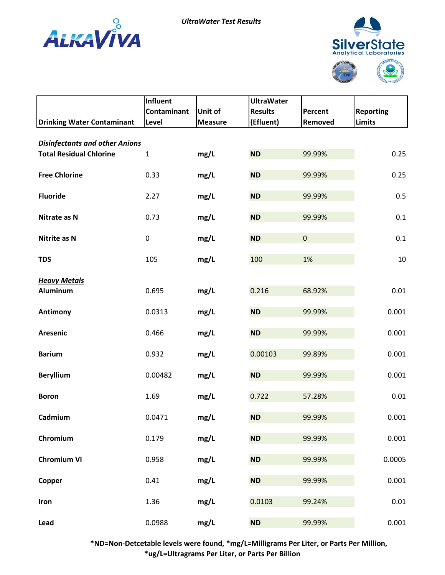



| <b>Drinking Water Contaminant</b>     | <b>Influent</b><br>Contaminant<br>Level | Unit of<br><b>Measure</b> | <b>UltraWater</b><br><b>Results</b><br>(Efluent) | Percent<br>Removed | <b>Reporting</b><br><b>Limits</b> |
|---------------------------------------|-----------------------------------------|---------------------------|--------------------------------------------------|--------------------|-----------------------------------|
| <b>Disinfectants and other Anions</b> |                                         |                           |                                                  |                    |                                   |
| <b>Total Residual Chlorine</b>        | $\mathbf{1}$                            | mg/L                      | <b>ND</b>                                        | 99.99%             | 0.25                              |
| <b>Free Chlorine</b>                  | 0.33                                    | mg/L                      | <b>ND</b>                                        | 99.99%             | 0.25                              |
| <b>Fluoride</b>                       | 2.27                                    | mg/L                      | <b>ND</b>                                        | 99.99%             | 0.5                               |
| Nitrate as N                          | 0.73                                    | mg/L                      | <b>ND</b>                                        | 99.99%             | 0.1                               |
| <b>Nitrite as N</b>                   | $\pmb{0}$                               | mg/L                      | <b>ND</b>                                        | $\pmb{0}$          | 0.1                               |
| <b>TDS</b>                            | 105                                     | mg/L                      | 100                                              | 1%                 | 10                                |
| <b>Heavy Metals</b><br>Aluminum       | 0.695                                   | mg/L                      | 0.216                                            | 68.92%             | 0.01                              |
| Antimony                              | 0.0313                                  | mg/L                      | <b>ND</b>                                        | 99.99%             | 0.001                             |
| Aresenic                              | 0.466                                   | mg/L                      | <b>ND</b>                                        | 99.99%             | 0.001                             |
| <b>Barium</b>                         | 0.932                                   | mg/L                      | 0.00103                                          | 99.89%             | 0.001                             |
| <b>Beryllium</b>                      | 0.00482                                 | mg/L                      | <b>ND</b>                                        | 99.99%             | 0.001                             |
| <b>Boron</b>                          | 1.69                                    | mg/L                      | 0.722                                            | 57.28%             | 0.01                              |
| Cadmium                               | 0.0471                                  | mg/L                      | ND                                               | 99.99%             | 0.001                             |
| Chromium                              | 0.179                                   | mg/L                      | <b>ND</b>                                        | 99.99%             | 0.001                             |
| <b>Chromium VI</b>                    | 0.958                                   | mg/L                      | <b>ND</b>                                        | 99.99%             | 0.0005                            |
| Copper                                | 0.41                                    | mg/L                      | <b>ND</b>                                        | 99.99%             | 0.001                             |
| Iron                                  | 1.36                                    | mg/L                      | 0.0103                                           | 99.24%             | $0.01\,$                          |
| Lead                                  | 0.0988                                  | mg/L                      | ND                                               | 99.99%             | 0.001                             |

 **\*ND=Non-Detcetable levels were found, \*mg/L=Milligrams Per Liter, or Parts Per Million, \*ug/L=Ultragrams Per Liter, or Parts Per Billion**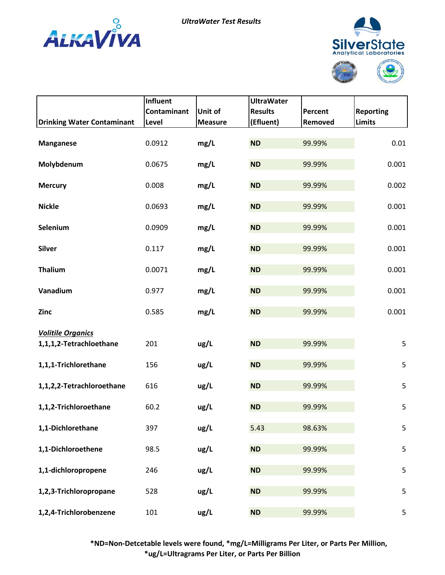



|                                                     | Influent<br>Contaminant | <b>Unit of</b> | <b>UltraWater</b><br><b>Results</b> | Percent | <b>Reporting</b> |
|-----------------------------------------------------|-------------------------|----------------|-------------------------------------|---------|------------------|
| <b>Drinking Water Contaminant</b>                   | Level                   | <b>Measure</b> | (Efluent)                           | Removed | <b>Limits</b>    |
| <b>Manganese</b>                                    | 0.0912                  | mg/L           | <b>ND</b>                           | 99.99%  | 0.01             |
| Molybdenum                                          | 0.0675                  | mg/L           | <b>ND</b>                           | 99.99%  | 0.001            |
| <b>Mercury</b>                                      | 0.008                   | mg/L           | <b>ND</b>                           | 99.99%  | 0.002            |
| <b>Nickle</b>                                       | 0.0693                  | mg/L           | <b>ND</b>                           | 99.99%  | 0.001            |
| Selenium                                            | 0.0909                  | mg/L           | <b>ND</b>                           | 99.99%  | 0.001            |
| <b>Silver</b>                                       | 0.117                   | mg/L           | <b>ND</b>                           | 99.99%  | 0.001            |
| <b>Thalium</b>                                      | 0.0071                  | mg/L           | <b>ND</b>                           | 99.99%  | 0.001            |
| Vanadium                                            | 0.977                   | mg/L           | <b>ND</b>                           | 99.99%  | 0.001            |
| Zinc                                                | 0.585                   | mg/L           | <b>ND</b>                           | 99.99%  | 0.001            |
| <b>Volitile Organics</b><br>1,1,1,2-Tetrachloethane | 201                     | ug/L           | <b>ND</b>                           | 99.99%  | 5                |
| 1,1,1-Trichlorethane                                | 156                     | ug/L           | <b>ND</b>                           | 99.99%  | 5                |
| 1,1,2,2-Tetrachloroethane                           | 616                     | ug/L           | <b>ND</b>                           | 99.99%  | 5                |
| 1,1,2-Trichloroethane                               | 60.2                    | ug/L           | <b>ND</b>                           | 99.99%  | 5                |
| 1,1-Dichlorethane                                   | 397                     | ug/L           | 5.43                                | 98.63%  | 5                |
| 1,1-Dichloroethene                                  | 98.5                    | ug/L           | <b>ND</b>                           | 99.99%  | 5                |
| 1,1-dichloropropene                                 | 246                     | ug/L           | <b>ND</b>                           | 99.99%  | 5                |
| 1,2,3-Trichloropropane                              | 528                     | ug/L           | <b>ND</b>                           | 99.99%  | 5                |
| 1,2,4-Trichlorobenzene                              | 101                     | ug/L           | ND                                  | 99.99%  | 5                |

 **\*ND=Non-Detcetable levels were found, \*mg/L=Milligrams Per Liter, or Parts Per Million, \*ug/L=Ultragrams Per Liter, or Parts Per Billion**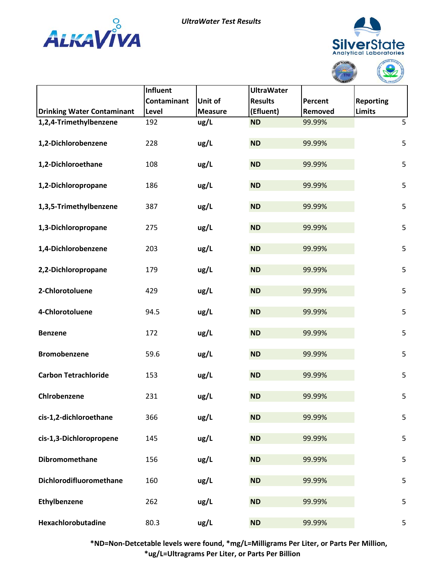



C

|                                   |                 |                |                   | ABORATOR | <b>MTAL PROTECT</b> |
|-----------------------------------|-----------------|----------------|-------------------|----------|---------------------|
|                                   | <b>Influent</b> |                | <b>UltraWater</b> |          |                     |
|                                   | Contaminant     | <b>Unit of</b> | <b>Results</b>    | Percent  | <b>Reporting</b>    |
| <b>Drinking Water Contaminant</b> | Level           | <b>Measure</b> | (Efluent)         | Removed  | <b>Limits</b>       |
| 1,2,4-Trimethylbenzene            | 192             | ug/L           | <b>ND</b>         | 99.99%   | 5                   |
| 1,2-Dichlorobenzene               | 228             | ug/L           | <b>ND</b>         | 99.99%   | 5                   |
| 1,2-Dichloroethane                | 108             | ug/L           | <b>ND</b>         | 99.99%   | 5                   |
| 1,2-Dichloropropane               | 186             | ug/L           | <b>ND</b>         | 99.99%   | 5                   |
| 1,3,5-Trimethylbenzene            | 387             | ug/L           | <b>ND</b>         | 99.99%   | 5                   |
| 1,3-Dichloropropane               | 275             | ug/L           | <b>ND</b>         | 99.99%   | 5                   |
| 1,4-Dichlorobenzene               | 203             | ug/L           | <b>ND</b>         | 99.99%   | 5                   |
| 2,2-Dichloropropane               | 179             | ug/L           | <b>ND</b>         | 99.99%   | 5                   |
| 2-Chlorotoluene                   | 429             | ug/L           | <b>ND</b>         | 99.99%   | 5                   |
| 4-Chlorotoluene                   | 94.5            | ug/L           | <b>ND</b>         | 99.99%   | 5                   |
| <b>Benzene</b>                    | 172             | ug/L           | <b>ND</b>         | 99.99%   | 5                   |
| <b>Bromobenzene</b>               | 59.6            | ug/L           | <b>ND</b>         | 99.99%   | 5                   |
| <b>Carbon Tetrachloride</b>       | 153             | ug/L           | <b>ND</b>         | 99.99%   | 5                   |
| Chirobenzene                      | 231             | ug/L           | <b>ND</b>         | 99.99%   | 5                   |
| cis-1,2-dichloroethane            | 366             | ug/L           | <b>ND</b>         | 99.99%   | 5                   |
| cis-1,3-Dichloropropene           | 145             | ug/L           | <b>ND</b>         | 99.99%   | 5                   |
| Dibromomethane                    | 156             | ug/L           | <b>ND</b>         | 99.99%   | 5                   |
| Dichlorodifluoromethane           | 160             | ug/L           | <b>ND</b>         | 99.99%   | 5                   |
| Ethylbenzene                      | 262             | ug/L           | <b>ND</b>         | 99.99%   | 5                   |
| Hexachlorobutadine                | 80.3            | ug/L           | <b>ND</b>         | 99.99%   | 5                   |

 **\*ND=Non-Detcetable levels were found, \*mg/L=Milligrams Per Liter, or Parts Per Million, \*ug/L=Ultragrams Per Liter, or Parts Per Billion**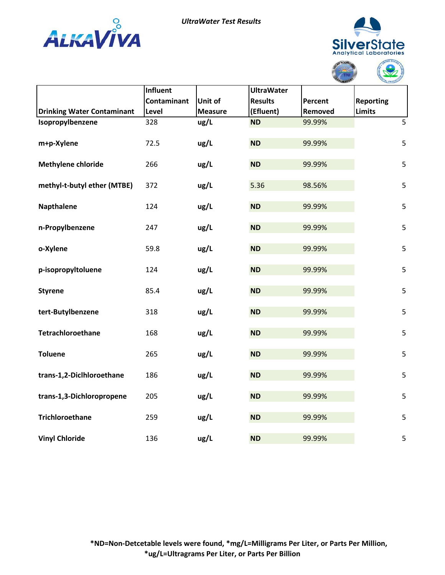



|                                   |                 |                |                   | <b>ABORATO</b> | TAL PROTECTION   |
|-----------------------------------|-----------------|----------------|-------------------|----------------|------------------|
|                                   | <b>Influent</b> |                | <b>UltraWater</b> |                |                  |
|                                   | Contaminant     | <b>Unit of</b> | <b>Results</b>    | Percent        | <b>Reporting</b> |
| <b>Drinking Water Contaminant</b> | Level           | <b>Measure</b> | (Efluent)         | Removed        | <b>Limits</b>    |
| Isopropylbenzene                  | 328             | ug/L           | <b>ND</b>         | 99.99%         | 5                |
| m+p-Xylene                        | 72.5            | ug/L           | <b>ND</b>         | 99.99%         | 5                |
| Methylene chloride                | 266             | ug/L           | <b>ND</b>         | 99.99%         | 5                |
| methyl-t-butyl ether (MTBE)       | 372             | ug/L           | 5.36              | 98.56%         | 5                |
| <b>Napthalene</b>                 | 124             | ug/L           | <b>ND</b>         | 99.99%         | 5                |
| n-Propylbenzene                   | 247             | ug/L           | <b>ND</b>         | 99.99%         | 5                |
| o-Xylene                          | 59.8            | ug/L           | <b>ND</b>         | 99.99%         | 5                |
| p-isopropyltoluene                | 124             | ug/L           | <b>ND</b>         | 99.99%         | 5                |
| <b>Styrene</b>                    | 85.4            | ug/L           | <b>ND</b>         | 99.99%         | 5                |
| tert-Butylbenzene                 | 318             | ug/L           | <b>ND</b>         | 99.99%         | 5                |
| Tetrachloroethane                 | 168             | ug/L           | <b>ND</b>         | 99.99%         | 5                |
| <b>Toluene</b>                    | 265             | ug/L           | <b>ND</b>         | 99.99%         | 5                |
| trans-1,2-Diclhloroethane         | 186             | ug/L           | <b>ND</b>         | 99.99%         | 5                |
| trans-1,3-Dichloropropene         | 205             | ug/L           | <b>ND</b>         | 99.99%         | 5                |
| <b>Trichloroethane</b>            | 259             | ug/L           | <b>ND</b>         | 99.99%         | 5                |
| <b>Vinyl Chloride</b>             | 136             | ug/L           | <b>ND</b>         | 99.99%         | 5                |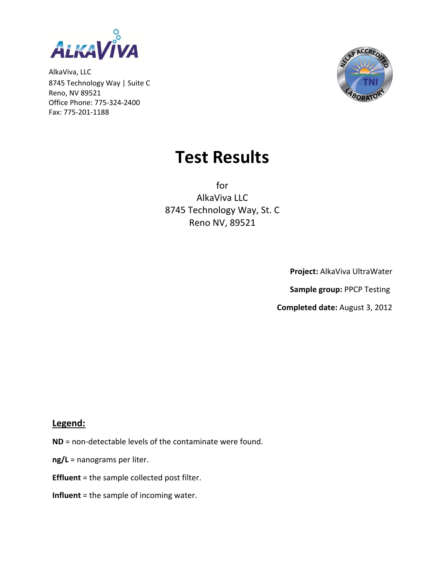

AlkaViva, LLC 8745 Technology Way | Suite C Reno, NV 89521 Office Phone: 775-324-2400 Fax: 775-201-1188



## **Test Results**

for AlkaViva LLC 8745 Technology Way, St. C Reno NV, 89521

**Project:** AlkaViva UltraWater

 **Sample group:** PPCP Testing

**Completed date:** August 3, 2012

## **Legend:**

- **ND** = non-detectable levels of the contaminate were found.
- **ng/L** = nanograms per liter.
- **Effluent** = the sample collected post filter.
- **Influent** = the sample of incoming water.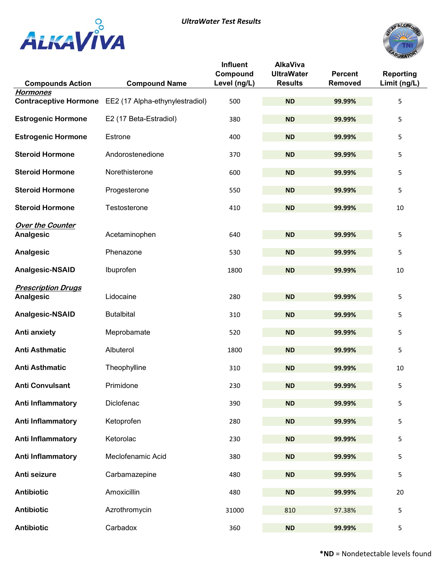



|                                                 |                                 | <b>Influent</b><br>Compound | <b>AlkaViva</b><br><b>UltraWater</b> | <b>Percent</b> | <b>Reporting</b> |
|-------------------------------------------------|---------------------------------|-----------------------------|--------------------------------------|----------------|------------------|
| <b>Compounds Action</b>                         | <b>Compound Name</b>            | Level (ng/L)                | <b>Results</b>                       | Removed        | Limit (ng/L)     |
| <b>Hormones</b><br><b>Contraceptive Hormone</b> | EE2 (17 Alpha-ethynylestradiol) | 500                         | <b>ND</b>                            | 99.99%         | 5                |
| <b>Estrogenic Hormone</b>                       | E2 (17 Beta-Estradiol)          | 380                         | <b>ND</b>                            | 99.99%         | 5                |
| <b>Estrogenic Hormone</b>                       | Estrone                         | 400                         | <b>ND</b>                            | 99.99%         | 5                |
| <b>Steroid Hormone</b>                          | Andorostenedione                | 370                         | <b>ND</b>                            | 99.99%         | 5                |
| <b>Steroid Hormone</b>                          | Norethisterone                  | 600                         | <b>ND</b>                            | 99.99%         | 5                |
| <b>Steroid Hormone</b>                          | Progesterone                    | 550                         | <b>ND</b>                            | 99.99%         | 5                |
| <b>Steroid Hormone</b>                          | Testosterone                    | 410                         | <b>ND</b>                            | 99.99%         | 10               |
| <b>Over the Counter</b><br>Analgesic            | Acetaminophen                   | 640                         | <b>ND</b>                            | 99.99%         | 5                |
| Analgesic                                       | Phenazone                       | 530                         | <b>ND</b>                            | 99.99%         | 5                |
| <b>Analgesic-NSAID</b>                          | Ibuprofen                       | 1800                        | <b>ND</b>                            | 99.99%         | 10               |
| <b>Prescription Drugs</b>                       |                                 |                             |                                      |                |                  |
| Analgesic                                       | Lidocaine                       | 280                         | <b>ND</b>                            | 99.99%         | 5                |
| <b>Analgesic-NSAID</b>                          | <b>Butalbital</b>               | 310                         | <b>ND</b>                            | 99.99%         | 5                |
| <b>Anti anxiety</b>                             | Meprobamate                     | 520                         | <b>ND</b>                            | 99.99%         | 5                |
| <b>Anti Asthmatic</b>                           | Albuterol                       | 1800                        | <b>ND</b>                            | 99.99%         | 5                |
| <b>Anti Asthmatic</b>                           | Theophylline                    | 310                         | <b>ND</b>                            | 99.99%         | 10               |
| <b>Anti Convulsant</b>                          | Primidone                       | 230                         | <b>ND</b>                            | 99.99%         | 5                |
| Anti Inflammatory                               | Diclofenac                      | 390                         | <b>ND</b>                            | 99.99%         | 5                |
| <b>Anti Inflammatory</b>                        | Ketoprofen                      | 280                         | <b>ND</b>                            | 99.99%         | 5                |
| <b>Anti Inflammatory</b>                        | Ketorolac                       | 230                         | <b>ND</b>                            | 99.99%         | 5                |
| <b>Anti Inflammatory</b>                        | Meclofenamic Acid               | 380                         | <b>ND</b>                            | 99.99%         | 5                |
| Anti seizure                                    | Carbamazepine                   | 480                         | <b>ND</b>                            | 99.99%         | 5                |
| Antibiotic                                      | Amoxicillin                     | 480                         | <b>ND</b>                            | 99.99%         | 20               |
| Antibiotic                                      | Azrothromycin                   | 31000                       | 810                                  | 97.38%         | 5                |
| <b>Antibiotic</b>                               | Carbadox                        | 360                         | <b>ND</b>                            | 99.99%         | 5                |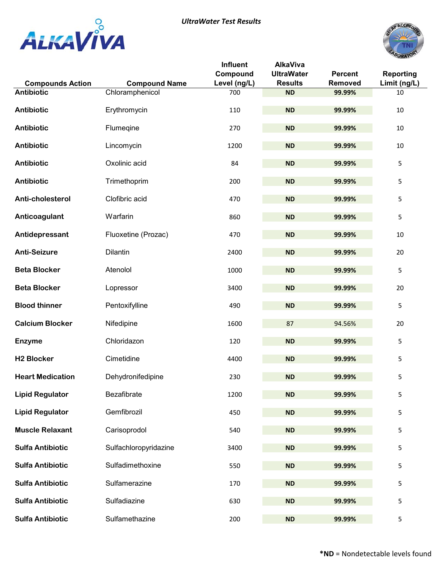



|                                              |                       | <b>Influent</b><br>Compound | <b>AlkaViva</b><br><b>UltraWater</b> | <b>Percent</b> | <b>Reporting</b> |
|----------------------------------------------|-----------------------|-----------------------------|--------------------------------------|----------------|------------------|
| <b>Compounds Action</b><br><b>Antibiotic</b> | <b>Compound Name</b>  | Level (ng/L)                | <b>Results</b>                       | Removed        | Limit (ng/L)     |
|                                              | Chloramphenicol       | 700                         | <b>ND</b>                            | 99.99%         | $10\,$           |
| <b>Antibiotic</b>                            | Erythromycin          | 110                         | <b>ND</b>                            | 99.99%         | $10\,$           |
| <b>Antibiotic</b>                            | Flumeqine             | 270                         | <b>ND</b>                            | 99.99%         | $10\,$           |
| <b>Antibiotic</b>                            | Lincomycin            | 1200                        | <b>ND</b>                            | 99.99%         | $10\,$           |
| <b>Antibiotic</b>                            | Oxolinic acid         | 84                          | <b>ND</b>                            | 99.99%         | 5                |
| <b>Antibiotic</b>                            | Trimethoprim          | 200                         | <b>ND</b>                            | 99.99%         | 5                |
| Anti-cholesterol                             | Clofibric acid        | 470                         | <b>ND</b>                            | 99.99%         | 5                |
| Anticoagulant                                | Warfarin              | 860                         | <b>ND</b>                            | 99.99%         | 5                |
| Antidepressant                               | Fluoxetine (Prozac)   | 470                         | <b>ND</b>                            | 99.99%         | 10               |
| <b>Anti-Seizure</b>                          | Dilantin              | 2400                        | <b>ND</b>                            | 99.99%         | 20               |
| <b>Beta Blocker</b>                          | Atenolol              | 1000                        | <b>ND</b>                            | 99.99%         | 5                |
| <b>Beta Blocker</b>                          | Lopressor             | 3400                        | <b>ND</b>                            | 99.99%         | 20               |
| <b>Blood thinner</b>                         | Pentoxifylline        | 490                         | <b>ND</b>                            | 99.99%         | 5                |
| <b>Calcium Blocker</b>                       | Nifedipine            | 1600                        | 87                                   | 94.56%         | 20               |
| <b>Enzyme</b>                                | Chloridazon           | 120                         | <b>ND</b>                            | 99.99%         | 5                |
| <b>H2 Blocker</b>                            | Cimetidine            | 4400                        | <b>ND</b>                            | 99.99%         | 5                |
| <b>Heart Medication</b>                      | Dehydronifedipine     | 230                         | <b>ND</b>                            | 99.99%         | 5                |
| <b>Lipid Regulator</b>                       | Bezafibrate           | 1200                        | <b>ND</b>                            | 99.99%         | 5                |
| <b>Lipid Regulator</b>                       | Gemfibrozil           | 450                         | <b>ND</b>                            | 99.99%         | 5                |
| <b>Muscle Relaxant</b>                       | Carisoprodol          | 540                         | <b>ND</b>                            | 99.99%         | 5                |
| <b>Sulfa Antibiotic</b>                      | Sulfachloropyridazine | 3400                        | <b>ND</b>                            | 99.99%         | 5                |
| <b>Sulfa Antibiotic</b>                      | Sulfadimethoxine      | 550                         | <b>ND</b>                            | 99.99%         | 5                |
| <b>Sulfa Antibiotic</b>                      | Sulfamerazine         | 170                         | <b>ND</b>                            | 99.99%         | 5                |
| <b>Sulfa Antibiotic</b>                      | Sulfadiazine          | 630                         | <b>ND</b>                            | 99.99%         | 5                |
| <b>Sulfa Antibiotic</b>                      | Sulfamethazine        | 200                         | <b>ND</b>                            | 99.99%         | 5                |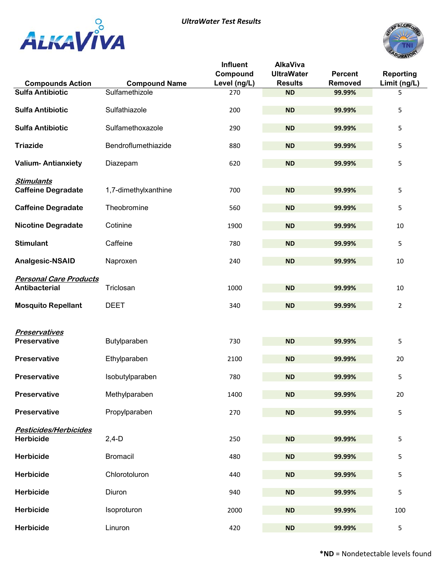





| <b>Compounds Action</b>                               | <b>Compound Name</b> | Influent<br>Compound<br>Level (ng/L) | <b>AlkaViva</b><br><b>UltraWater</b><br><b>Results</b> | <b>Percent</b><br>Removed | <b>Reporting</b><br>Limit (ng/L) |
|-------------------------------------------------------|----------------------|--------------------------------------|--------------------------------------------------------|---------------------------|----------------------------------|
| <b>Sulfa Antibiotic</b>                               | Sulfamethizole       | 270                                  | <b>ND</b>                                              | 99.99%                    | 5                                |
| <b>Sulfa Antibiotic</b>                               | Sulfathiazole        | 200                                  | <b>ND</b>                                              | 99.99%                    | 5                                |
| <b>Sulfa Antibiotic</b>                               | Sulfamethoxazole     | 290                                  | <b>ND</b>                                              | 99.99%                    | 5                                |
| <b>Triazide</b>                                       | Bendroflumethiazide  | 880                                  | <b>ND</b>                                              | 99.99%                    | 5                                |
| <b>Valium-Antianxiety</b>                             | Diazepam             | 620                                  | <b>ND</b>                                              | 99.99%                    | 5                                |
| <b>Stimulants</b><br><b>Caffeine Degradate</b>        | 1,7-dimethylxanthine | 700                                  | <b>ND</b>                                              | 99.99%                    | 5                                |
| <b>Caffeine Degradate</b>                             | Theobromine          | 560                                  | <b>ND</b>                                              | 99.99%                    | 5                                |
| <b>Nicotine Degradate</b>                             | Cotinine             | 1900                                 | <b>ND</b>                                              | 99.99%                    | 10                               |
| <b>Stimulant</b>                                      | Caffeine             | 780                                  | <b>ND</b>                                              | 99.99%                    | 5                                |
| Analgesic-NSAID                                       | Naproxen             | 240                                  | <b>ND</b>                                              | 99.99%                    | $10\,$                           |
| <b>Personal Care Products</b><br><b>Antibacterial</b> | Triclosan            | 1000                                 | <b>ND</b>                                              | 99.99%                    | 10                               |
| <b>Mosquito Repellant</b>                             | <b>DEET</b>          | 340                                  | <b>ND</b>                                              | 99.99%                    | 2                                |
| <b>Preservatives</b>                                  |                      |                                      |                                                        |                           |                                  |
| <b>Preservative</b>                                   | Butylparaben         | 730                                  | <b>ND</b>                                              | 99.99%                    | 5                                |
| Preservative                                          | Ethylparaben         | 2100                                 | <b>ND</b>                                              | 99.99%                    | 20                               |
| <b>Preservative</b>                                   | Isobutylparaben      | 780                                  | <b>ND</b>                                              | 99.99%                    | 5                                |
| <b>Preservative</b>                                   | Methylparaben        | 1400                                 | <b>ND</b>                                              | 99.99%                    | 20                               |
| <b>Preservative</b>                                   | Propylparaben        | 270                                  | ND                                                     | 99.99%                    | 5                                |
| Pesticides/Herbicides<br><b>Herbicide</b>             | $2,4-D$              | 250                                  | <b>ND</b>                                              | 99.99%                    | 5                                |
| Herbicide                                             | <b>Bromacil</b>      | 480                                  | <b>ND</b>                                              | 99.99%                    | 5                                |
| Herbicide                                             | Chlorotoluron        | 440                                  | <b>ND</b>                                              | 99.99%                    | 5                                |
| Herbicide                                             | Diuron               | 940                                  | <b>ND</b>                                              | 99.99%                    | 5                                |
| Herbicide                                             | Isoproturon          | 2000                                 | <b>ND</b>                                              | 99.99%                    | 100                              |
| Herbicide                                             | Linuron              | 420                                  | <b>ND</b>                                              | 99.99%                    | 5                                |